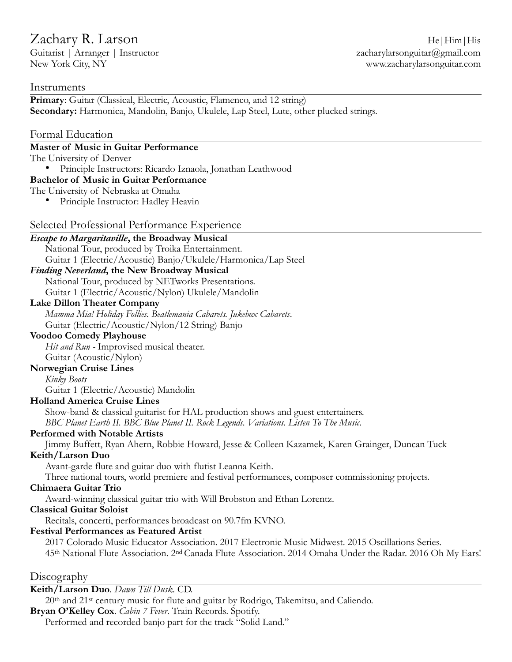Guitarist | Arranger | Instructor  $z$ acharylarsonguitar@gmail.com New York City, NY www.zacharylarsonguitar.com

## **Instruments**

**Primary:** Guitar (Classical, Electric, Acoustic, Flamenco, and 12 string) **Secondary:** Harmonica, Mandolin, Banjo, Ukulele, Lap Steel, Lute, other plucked strings.

## Formal Education

## **Master of Music in Guitar Performance**

The University of Denver

• Principle Instructors: Ricardo Iznaola, Jonathan Leathwood

### **Bachelor of Music in Guitar Performance**

The University of Nebraska at Omaha

• Principle Instructor: Hadley Heavin

## Selected Professional Performance Experience

*Escape to Margaritaville***, the Broadway Musical**  National Tour, produced by Troika Entertainment. Guitar 1 (Electric/Acoustic) Banjo/Ukulele/Harmonica/Lap Steel

# *Finding Neverland***, the New Broadway Musical**

National Tour, produced by NETworks Presentations. Guitar 1 (Electric/Acoustic/Nylon) Ukulele/Mandolin

#### **Lake Dillon Theater Company**

*Mamma Mia! Holiday Follies. Beatlemania Cabarets. Jukebox Cabarets*. Guitar (Electric/Acoustic/Nylon/12 String) Banjo

### **Voodoo Comedy Playhouse**

*Hit and Run* - Improvised musical theater.

# Guitar (Acoustic/Nylon)

### **Norwegian Cruise Lines**

*Kinky Boots* 

Guitar 1 (Electric/Acoustic) Mandolin

#### **Holland America Cruise Lines**

Show-band & classical guitarist for HAL production shows and guest entertainers. *BBC Planet Earth II. BBC Blue Planet II. Rock Legends. Variations. Listen To The Music.* 

### **Performed with Notable Artists**

Jimmy Buffett, Ryan Ahern, Robbie Howard, Jesse & Colleen Kazamek, Karen Grainger, Duncan Tuck

**Keith/Larson Duo** 

Avant-garde flute and guitar duo with flutist Leanna Keith.

Three national tours, world premiere and festival performances, composer commissioning projects.

#### **Chimaera Guitar Trio**

Award-winning classical guitar trio with Will Brobston and Ethan Lorentz.

#### **Classical Guitar Soloist**

Recitals, concerti, performances broadcast on 90.7fm KVNO.

## **Festival Performances as Featured Artist**

2017 Colorado Music Educator Association. 2017 Electronic Music Midwest. 2015 Oscillations Series. 45th National Flute Association. 2nd Canada Flute Association. 2014 Omaha Under the Radar. 2016 Oh My Ears!

## Discography

## **Keith/Larson Duo**. *Dawn Till Dusk*. CD.

20th and 21st century music for flute and guitar by Rodrigo, Takemitsu, and Caliendo. **Bryan O'Kelley Cox**. *Cabin 7 Fever*. Train Records. Spotify. Performed and recorded banjo part for the track "Solid Land."